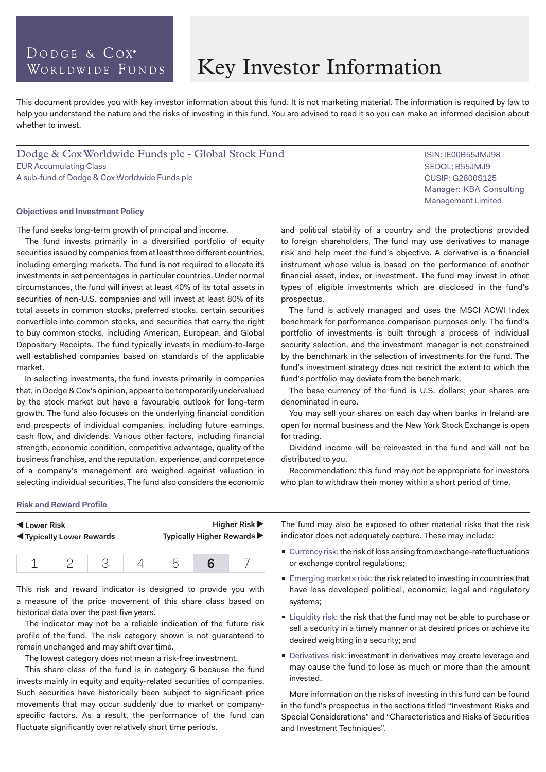# DODGE & COX<sup>®</sup> WORLDWIDE FUNDS

# Key Investor Information

This document provides you with key investor information about this fund. It is not marketing material. The information is required by law to help you understand the nature and the risks of investing in this fund. You are advised to read it so you can make an informed decision about whether to invest.

Dodge & Cox Worldwide Funds plc - Global Stock Fund EUR Accumulating Class A sub-fund of Dodge & Cox Worldwide Funds plc

#### **Objectives and Investment Policy**

The fund seeks long-term growth of principal and income.

The fund invests primarily in a diversified portfolio of equity securities issued by companies from at least three different countries, including emerging markets. The fund is not required to allocate its investments in set percentages in particular countries. Under normal circumstances, the fund will invest at least 40% of its total assets in securities of non-U.S. companies and will invest at least 80% of its total assets in common stocks, preferred stocks, certain securities convertible into common stocks, and securities that carry the right to buy common stocks, including American, European, and Global Depositary Receipts. The fund typically invests in medium-to-large well established companies based on standards of the applicable market.

In selecting investments, the fund invests primarily in companies that, in Dodge & Cox's opinion, appear to be temporarily undervalued by the stock market but have a favourable outlook for long-term growth. The fund also focuses on the underlying financial condition and prospects of individual companies, including future earnings, cash flow, and dividends. Various other factors, including financial strength, economic condition, competitive advantage, quality of the business franchise, and the reputation, experience, and competence of a company's management are weighed against valuation in selecting individual securities. The fund also considers the economic and political stability of a country and the protections provided to foreign shareholders. The fund may use derivatives to manage CUSIP: G2800S125 Manager: KBA Consulting Management Limited

ISIN: IE00B55JMJ98 SEDOL: B55JMJ9

risk and help meet the fund's objective. A derivative is a financial instrument whose value is based on the performance of another financial asset, index, or investment. The fund may invest in other types of eligible investments which are disclosed in the fund's prospectus.

The fund is actively managed and uses the MSCI ACWI Index benchmark for performance comparison purposes only. The fund's portfolio of investments is built through a process of individual security selection, and the investment manager is not constrained by the benchmark in the selection of investments for the fund. The fund's investment strategy does not restrict the extent to which the fund's portfolio may deviate from the benchmark.

The base currency of the fund is U.S. dollars; your shares are denominated in euro.

You may sell your shares on each day when banks in Ireland are open for normal business and the New York Stock Exchange is open for trading.

Dividend income will be reinvested in the fund and will not be distributed to you.

Recommendation: this fund may not be appropriate for investors who plan to withdraw their money within a short period of time.

#### **Risk and Reward Profile**

| Lower Risk                         |  |  |  | <b>Higher Risk ▶</b>       |  |  |  |
|------------------------------------|--|--|--|----------------------------|--|--|--|
| <b>IVI</b> Typically Lower Rewards |  |  |  | Typically Higher Rewards ▶ |  |  |  |
|                                    |  |  |  |                            |  |  |  |

This risk and reward indicator is designed to provide you with a measure of the price movement of this share class based on historical data over the past five years.

The indicator may not be a reliable indication of the future risk profile of the fund. The risk category shown is not guaranteed to remain unchanged and may shift over time.

The lowest category does not mean a risk-free investment.

This share class of the fund is in category 6 because the fund invests mainly in equity and equity-related securities of companies. Such securities have historically been subject to significant price movements that may occur suddenly due to market or companyspecific factors. As a result, the performance of the fund can fluctuate significantly over relatively short time periods.

The fund may also be exposed to other material risks that the risk indicator does not adequately capture. These may include:

- Currency risk: the risk of loss arising from exchange-rate fluctuations or exchange control regulations;
- **Emerging markets risk: the risk related to investing in countries that** have less developed political, economic, legal and regulatory systems;
- **Example 1** Liquidity risk: the risk that the fund may not be able to purchase or sell a security in a timely manner or at desired prices or achieve its desired weighting in a security; and
- **Derivatives risk: investment in derivatives may create leverage and** may cause the fund to lose as much or more than the amount invested.

More information on the risks of investing in this fund can be found in the fund's prospectus in the sections titled "Investment Risks and Special Considerations" and "Characteristics and Risks of Securities and Investment Techniques".